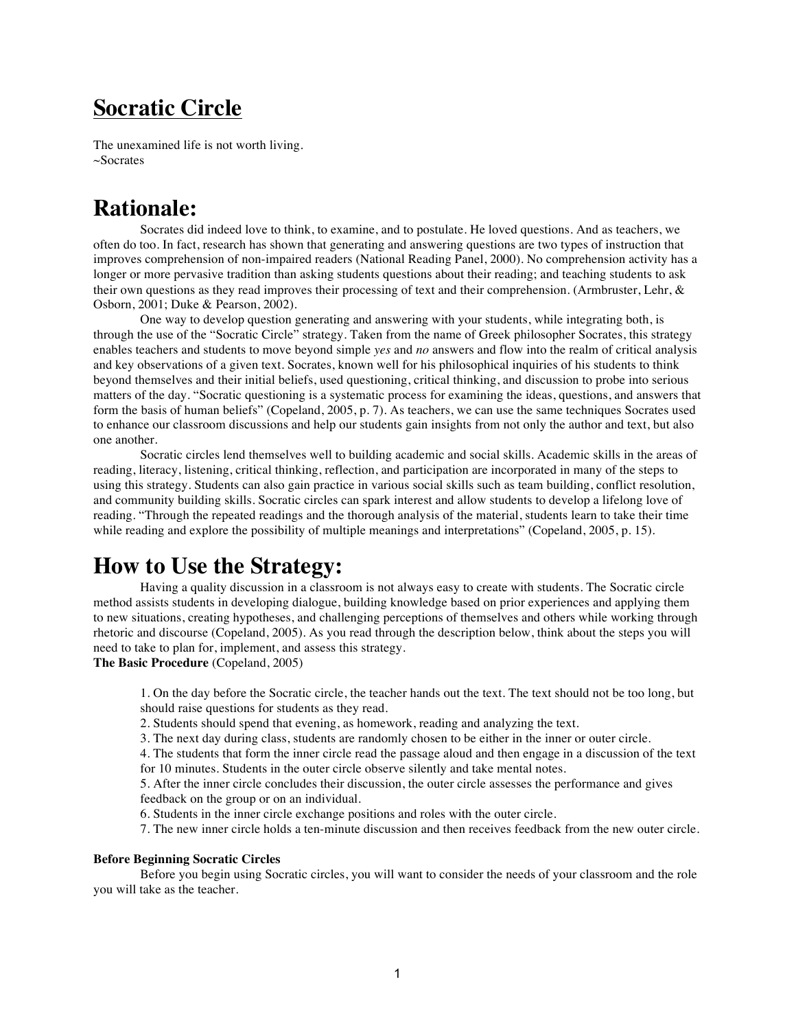# **Socratic Circle**

The unexamined life is not worth living. ~Socrates

## **Rationale:**

Socrates did indeed love to think, to examine, and to postulate. He loved questions. And as teachers, we often do too. In fact, research has shown that generating and answering questions are two types of instruction that improves comprehension of non-impaired readers (National Reading Panel, 2000). No comprehension activity has a longer or more pervasive tradition than asking students questions about their reading; and teaching students to ask their own questions as they read improves their processing of text and their comprehension. (Armbruster, Lehr, & Osborn, 2001; Duke & Pearson, 2002).

One way to develop question generating and answering with your students, while integrating both, is through the use of the "Socratic Circle" strategy. Taken from the name of Greek philosopher Socrates, this strategy enables teachers and students to move beyond simple *yes* and *no* answers and flow into the realm of critical analysis and key observations of a given text. Socrates, known well for his philosophical inquiries of his students to think beyond themselves and their initial beliefs, used questioning, critical thinking, and discussion to probe into serious matters of the day. "Socratic questioning is a systematic process for examining the ideas, questions, and answers that form the basis of human beliefs" (Copeland, 2005, p. 7). As teachers, we can use the same techniques Socrates used to enhance our classroom discussions and help our students gain insights from not only the author and text, but also one another.

Socratic circles lend themselves well to building academic and social skills. Academic skills in the areas of reading, literacy, listening, critical thinking, reflection, and participation are incorporated in many of the steps to using this strategy. Students can also gain practice in various social skills such as team building, conflict resolution, and community building skills. Socratic circles can spark interest and allow students to develop a lifelong love of reading. "Through the repeated readings and the thorough analysis of the material, students learn to take their time while reading and explore the possibility of multiple meanings and interpretations" (Copeland, 2005, p. 15).

## **How to Use the Strategy:**

Having a quality discussion in a classroom is not always easy to create with students. The Socratic circle method assists students in developing dialogue, building knowledge based on prior experiences and applying them to new situations, creating hypotheses, and challenging perceptions of themselves and others while working through rhetoric and discourse (Copeland, 2005). As you read through the description below, think about the steps you will need to take to plan for, implement, and assess this strategy.

**The Basic Procedure** (Copeland, 2005)

1. On the day before the Socratic circle, the teacher hands out the text. The text should not be too long, but should raise questions for students as they read.

2. Students should spend that evening, as homework, reading and analyzing the text.

3. The next day during class, students are randomly chosen to be either in the inner or outer circle.

4. The students that form the inner circle read the passage aloud and then engage in a discussion of the text for 10 minutes. Students in the outer circle observe silently and take mental notes.

5. After the inner circle concludes their discussion, the outer circle assesses the performance and gives feedback on the group or on an individual.

6. Students in the inner circle exchange positions and roles with the outer circle.

7. The new inner circle holds a ten-minute discussion and then receives feedback from the new outer circle.

#### **Before Beginning Socratic Circles**

Before you begin using Socratic circles, you will want to consider the needs of your classroom and the role you will take as the teacher.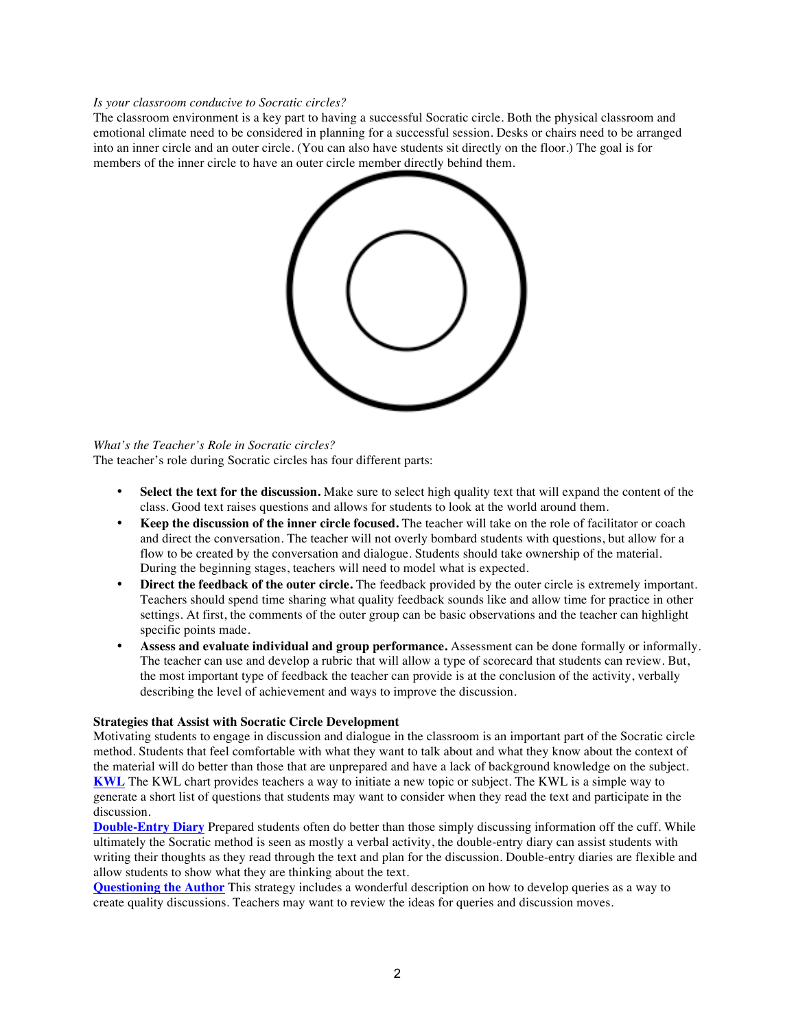#### *Is your classroom conducive to Socratic circles?*

The classroom environment is a key part to having a successful Socratic circle. Both the physical classroom and emotional climate need to be considered in planning for a successful session. Desks or chairs need to be arranged into an inner circle and an outer circle. (You can also have students sit directly on the floor.) The goal is for members of the inner circle to have an outer circle member directly behind them.



*What's the Teacher's Role in Socratic circles?* The teacher's role during Socratic circles has four different parts:

- Select the text for the discussion. Make sure to select high quality text that will expand the content of the class. Good text raises questions and allows for students to look at the world around them.
- **Keep the discussion of the inner circle focused.** The teacher will take on the role of facilitator or coach and direct the conversation. The teacher will not overly bombard students with questions, but allow for a flow to be created by the conversation and dialogue. Students should take ownership of the material. During the beginning stages, teachers will need to model what is expected.
- **Direct the feedback of the outer circle.** The feedback provided by the outer circle is extremely important. Teachers should spend time sharing what quality feedback sounds like and allow time for practice in other settings. At first, the comments of the outer group can be basic observations and the teacher can highlight specific points made.
- **Assess and evaluate individual and group performance.** Assessment can be done formally or informally. The teacher can use and develop a rubric that will allow a type of scorecard that students can review. But, the most important type of feedback the teacher can provide is at the conclusion of the activity, verbally describing the level of achievement and ways to improve the discussion.

### **Strategies that Assist with Socratic Circle Development**

Motivating students to engage in discussion and dialogue in the classroom is an important part of the Socratic circle method. Students that feel comfortable with what they want to talk about and what they know about the context of the material will do better than those that are unprepared and have a lack of background knowledge on the subject. **KWL** The KWL chart provides teachers a way to initiate a new topic or subject. The KWL is a simple way to generate a short list of questions that students may want to consider when they read the text and participate in the discussion.

**Double-Entry Diary** Prepared students often do better than those simply discussing information off the cuff. While ultimately the Socratic method is seen as mostly a verbal activity, the double-entry diary can assist students with writing their thoughts as they read through the text and plan for the discussion. Double-entry diaries are flexible and allow students to show what they are thinking about the text.

**Questioning the Author** This strategy includes a wonderful description on how to develop queries as a way to create quality discussions. Teachers may want to review the ideas for queries and discussion moves.